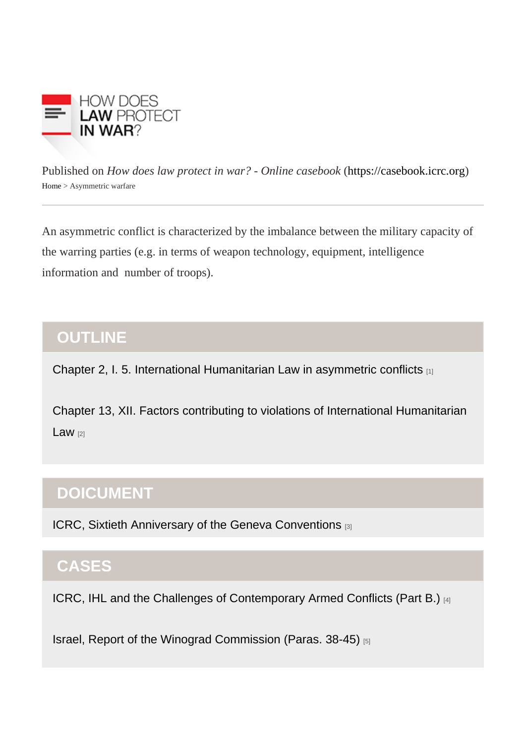Published on How does law protect in war? - Online caseb[ook](https://casebook.icrc.org) that is://casebook.icrc.org Home> Asymmetric warfare

An asymmetric conflict is characterized by the imbalance between the military capacity of the warring parties (e.g. in terms of weapon technology, equipment, intelligence information and number of troops).

### **OUTLINE**

[Chapter 2, I. 5. International Humanitarian Law in asymmetric conflicts](https://casebook.icrc.org/law/fundamentals-ihl#b_i_5) [1]

[Chapter 13, XII. Factors contributing to violations of International Humanitarian](https://casebook.icrc.org/law/implementation-mechanisms#chapter11)   $Law$   $21$ 

# DOICUMENT

[ICRC, Sixtieth Anniversary of the Geneva Conventions](https://casebook.icrc.org/case-study/sixtieth-anniversary-geneva-conventions) [3]

## **CASES**

[ICRC, IHL and the Challenges of Contemporary Armed Conflicts \(Part B.\)](https://casebook.icrc.org/case-study/icrc-ihl-and-challenges-contemporary-armed-conflicts#chapter2) [4]

[Israel, Report of the Winograd Commission \(Paras. 38-45\)](https://casebook.icrc.org/case-study/israel-report-winograd-commission#para_38) [5]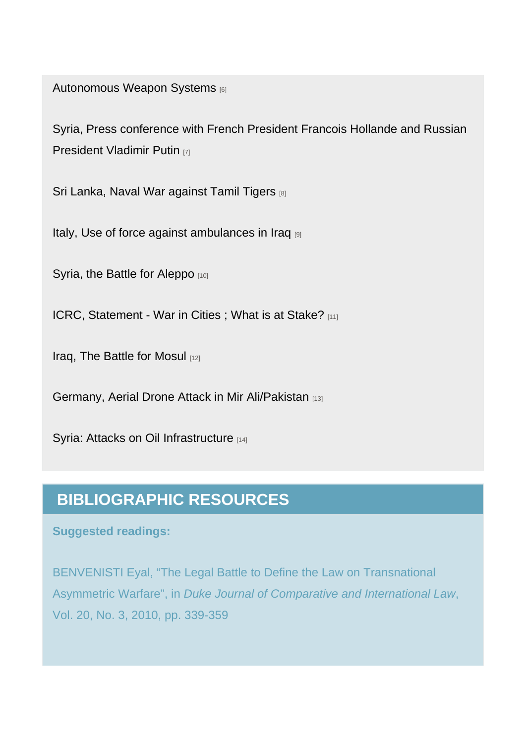[Autonomous Weapon Systems](https://casebook.icrc.org/case-study/autonomous-weapon-systems) [6]

[Syria, Press conference with French President Francois Hollande and Russian](https://casebook.icrc.org/case-study/syria-press-conference-french-president-francois-hollande-and-russian-president-vladimir)  [President Vladimir Putin](https://casebook.icrc.org/case-study/syria-press-conference-french-president-francois-hollande-and-russian-president-vladimir) [7]

[Sri Lanka, Naval War against Tamil Tigers](https://casebook.icrc.org/case-study/sri-lanka-naval-war-against-tamil-tigers) [8]

[Italy, Use of force against ambulances in Iraq](https://casebook.icrc.org/case-study/italy-use-force-against-ambulances-iraq) [9]

[Syria, the Battle for Aleppo](https://casebook.icrc.org/case-study/syria-battle-aleppo) [10]

[ICRC, Statement - War in Cities ; What is at Stake?](https://casebook.icrc.org/case-study/icrc-statement-war-cities-what-stake) [11]

[Iraq, The Battle for Mosul](https://casebook.icrc.org/case-study/iraq-battle-mosul) [12]

[Germany, Aerial Drone Attack in Mir Ali/Pakistan](https://casebook.icrc.org/case-study/germany-aerial-drone-attack-mir-alipakistan) [13]

[Syria: Attacks on Oil Infrastructure](https://casebook.icrc.org/case-study/syria-attacks-oil-infrastructure) [14]

#### BIBLIOGRAPHIC RESOURCES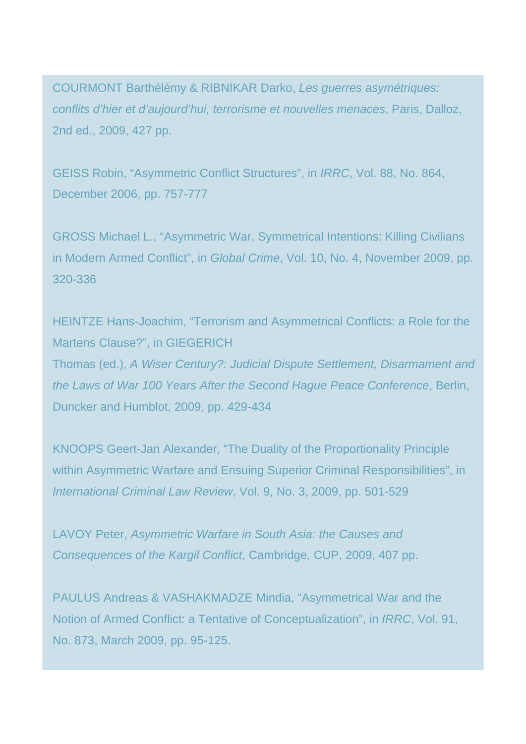COURMONT Barthélémy & RIBNIKAR Darko, Les guerres asymétriques: conflits d'hier et d'aujourd'hui, terrorisme et nouvelles menaces, Paris, Dalloz, 2nd ed., 2009, 427 pp.

GEISS Robin, "Asymmetric Conflict Structures", in IRRC, Vol. 88, No. 864, December 2006, pp. 757-777

GROSS Michael L., "Asymmetric War, Symmetrical Intentions: Killing Civilians in Modern Armed Conflict", in Global Crime, Vol. 10, No. 4, November 2009, pp. 320-336

HEINTZE Hans-Joachim, "Terrorism and Asymmetrical Conflicts: a Role for the Martens Clause?", in GIEGERICH Thomas (ed.), A Wiser Century?: Judicial Dispute Settlement, Disarmament and the Laws of War 100 Years After the Second Hague Peace Conference, Berlin, Duncker and Humblot, 2009, pp. 429-434

KNOOPS Geert-Jan Alexander, "The Duality of the Proportionality Principle within Asymmetric Warfare and Ensuing Superior Criminal Responsibilities", in International Criminal Law Review, Vol. 9, No. 3, 2009, pp. 501-529

LAVOY Peter, Asymmetric Warfare in South Asia: the Causes and Consequences of the Kargil Conflict, Cambridge, CUP, 2009, 407 pp.

PAULUS Andreas & VASHAKMADZE Mindia, "Asymmetrical War and the Notion of Armed Conflict: a Tentative of Conceptualization", in IRRC, Vol. 91, No. 873, March 2009, pp. 95-125.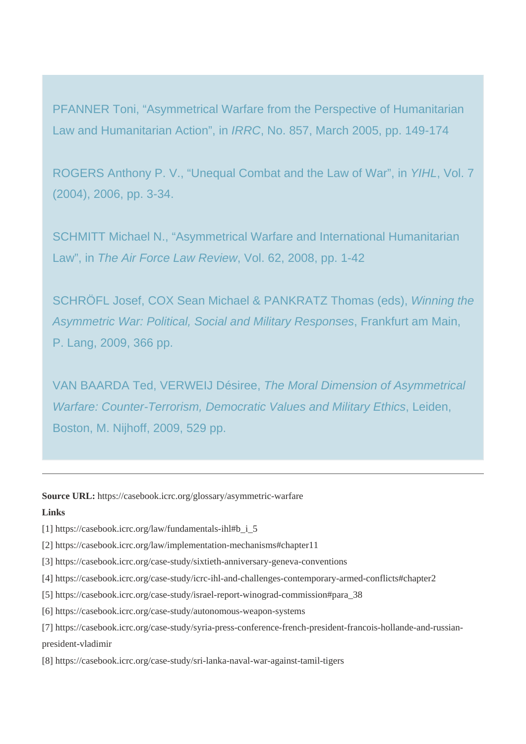PFANNER Toni, "Asymmetrical Warfare from the Perspective of Humanitarian Law and Humanitarian Action", in IRRC, No. 857, March 2005, pp. 149-174

ROGERS Anthony P. V., "Unequal Combat and the Law of War", in YIHL, Vol. 7 (2004), 2006, pp. 3-34.

SCHMITT Michael N., "Asymmetrical Warfare and International Humanitarian Law", in The Air Force Law Review, Vol. 62, 2008, pp. 1-42

SCHRÖFL Josef, COX Sean Michael & PANKRATZ Thomas (eds), Winning the Asymmetric War: Political, Social and Military Responses, Frankfurt am Main, P. Lang, 2009, 366 pp.

VAN BAARDA Ted, VERWEIJ Désiree, The Moral Dimension of Asymmetrical Warfare: Counter-Terrorism, Democratic Values and Military Ethics, Leiden, Boston, M. Nijhoff, 2009, 529 pp.

**Source URL:** https://casebook.icrc.org/glossary/asymmetric-warfare

#### **Links**

- [1] https://casebook.icrc.org/law/fundamentals-ihl#b\_i\_5
- [2] https://casebook.icrc.org/law/implementation-mechanisms#chapter11
- [3] https://casebook.icrc.org/case-study/sixtieth-anniversary-geneva-conventions
- [4] https://casebook.icrc.org/case-study/icrc-ihl-and-challenges-contemporary-armed-conflicts#chapter2
- [5] https://casebook.icrc.org/case-study/israel-report-winograd-commission#para\_38
- [6] https://casebook.icrc.org/case-study/autonomous-weapon-systems
- [7] https://casebook.icrc.org/case-study/syria-press-conference-french-president-francois-hollande-and-russianpresident-vladimir
- [8] https://casebook.icrc.org/case-study/sri-lanka-naval-war-against-tamil-tigers